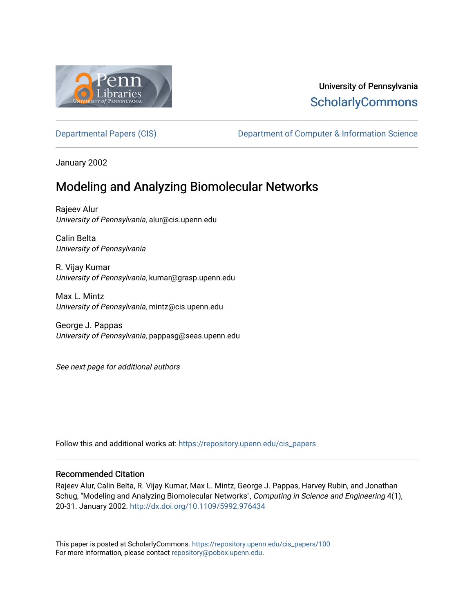

## University of Pennsylvania **ScholarlyCommons**

[Departmental Papers \(CIS\)](https://repository.upenn.edu/cis_papers) Department of Computer & Information Science

January 2002

## Modeling and Analyzing Biomolecular Networks

Rajeev Alur University of Pennsylvania, alur@cis.upenn.edu

Calin Belta University of Pennsylvania

R. Vijay Kumar University of Pennsylvania, kumar@grasp.upenn.edu

Max L. Mintz University of Pennsylvania, mintz@cis.upenn.edu

George J. Pappas University of Pennsylvania, pappasg@seas.upenn.edu

See next page for additional authors

Follow this and additional works at: [https://repository.upenn.edu/cis\\_papers](https://repository.upenn.edu/cis_papers?utm_source=repository.upenn.edu%2Fcis_papers%2F100&utm_medium=PDF&utm_campaign=PDFCoverPages)

#### Recommended Citation

Rajeev Alur, Calin Belta, R. Vijay Kumar, Max L. Mintz, George J. Pappas, Harvey Rubin, and Jonathan Schug, "Modeling and Analyzing Biomolecular Networks", Computing in Science and Engineering 4(1), 20-31. January 2002. <http://dx.doi.org/10.1109/5992.976434>

This paper is posted at ScholarlyCommons. [https://repository.upenn.edu/cis\\_papers/100](https://repository.upenn.edu/cis_papers/100)  For more information, please contact [repository@pobox.upenn.edu.](mailto:repository@pobox.upenn.edu)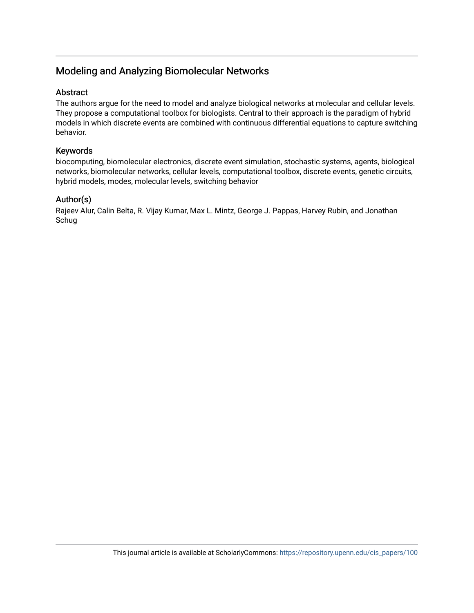## Modeling and Analyzing Biomolecular Networks

### Abstract

The authors argue for the need to model and analyze biological networks at molecular and cellular levels. They propose a computational toolbox for biologists. Central to their approach is the paradigm of hybrid models in which discrete events are combined with continuous differential equations to capture switching behavior.

### Keywords

biocomputing, biomolecular electronics, discrete event simulation, stochastic systems, agents, biological networks, biomolecular networks, cellular levels, computational toolbox, discrete events, genetic circuits, hybrid models, modes, molecular levels, switching behavior

## Author(s)

Rajeev Alur, Calin Belta, R. Vijay Kumar, Max L. Mintz, George J. Pappas, Harvey Rubin, and Jonathan Schug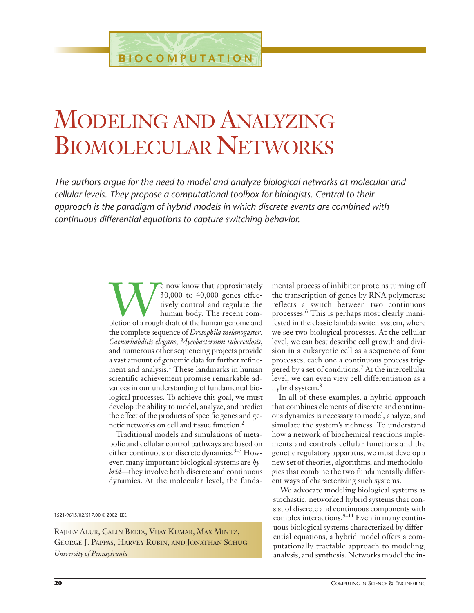# MODELING AND ANALYZING BIOMOLECULAR NETWORKS

*The authors argue for the need to model and analyze biological networks at molecular and cellular levels. They propose a computational toolbox for biologists. Central to their approach is the paradigm of hybrid models in which discrete events are combined with continuous differential equations to capture switching behavior.*

> **WE now know that approximately**<br>30,000 to 40,000 genes effec-<br>tively control and regulate the<br>human body. The recent com-<br>pletion of a rough draft of the human genome and 30,000 to 40,000 genes effectively control and regulate the human body. The recent comthe complete sequence of *Drosophila melanogaster*, *Caenorhabditis elegans*, *Mycobacterium tuberculosis*, and numerous other sequencing projects provide a vast amount of genomic data for further refinement and analysis.<sup>1</sup> These landmarks in human scientific achievement promise remarkable advances in our understanding of fundamental biological processes. To achieve this goal, we must develop the ability to model, analyze, and predict the effect of the products of specific genes and genetic networks on cell and tissue function.<sup>2</sup>

> Traditional models and simulations of metabolic and cellular control pathways are based on either continuous or discrete dynamics.<sup>3–5</sup> However, many important biological systems are *hybrid*—they involve both discrete and continuous dynamics. At the molecular level, the funda-

1521-9615/02/\$17.00 © 2002 IEEE

RAJEEV ALUR, CALIN BELTA, VIJAY KUMAR, MAX MINTZ, GEORGE J. PAPPAS, HARVEY RUBIN, AND JONATHAN SCHUG *University of Pennsylvania*

mental process of inhibitor proteins turning off the transcription of genes by RNA polymerase reflects a switch between two continuous processes.<sup>6</sup> This is perhaps most clearly manifested in the classic lambda switch system, where we see two biological processes. At the cellular level, we can best describe cell growth and division in a eukaryotic cell as a sequence of four processes, each one a continuous process triggered by a set of conditions.<sup>7</sup> At the intercellular level, we can even view cell differentiation as a hybrid system.<sup>8</sup>

In all of these examples, a hybrid approach that combines elements of discrete and continuous dynamics is necessary to model, analyze, and simulate the system's richness. To understand how a network of biochemical reactions implements and controls cellular functions and the genetic regulatory apparatus, we must develop a new set of theories, algorithms, and methodologies that combine the two fundamentally different ways of characterizing such systems.

We advocate modeling biological systems as stochastic, networked hybrid systems that consist of discrete and continuous components with complex interactions. $9-11$  Even in many continuous biological systems characterized by differential equations, a hybrid model offers a computationally tractable approach to modeling, analysis, and synthesis. Networks model the in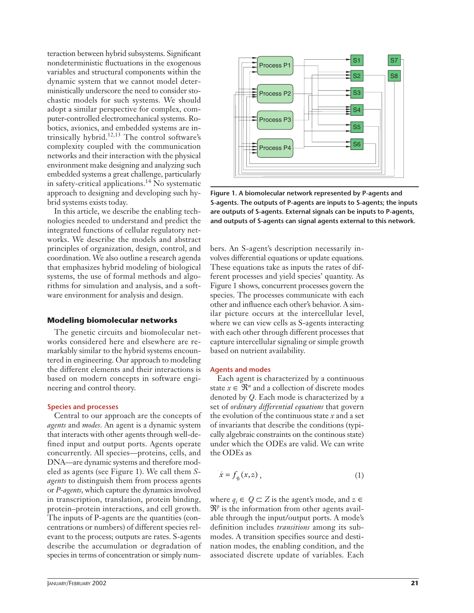teraction between hybrid subsystems. Significant nondeterministic fluctuations in the exogenous variables and structural components within the dynamic system that we cannot model deterministically underscore the need to consider stochastic models for such systems. We should adopt a similar perspective for complex, computer-controlled electromechanical systems. Robotics, avionics, and embedded systems are intrinsically hybrid.<sup>12,13</sup> The control software's complexity coupled with the communication networks and their interaction with the physical environment make designing and analyzing such embedded systems a great challenge, particularly in safety-critical applications.<sup>14</sup> No systematic approach to designing and developing such hybrid systems exists today.

In this article, we describe the enabling technologies needed to understand and predict the integrated functions of cellular regulatory networks. We describe the models and abstract principles of organization, design, control, and coordination. We also outline a research agenda that emphasizes hybrid modeling of biological systems, the use of formal methods and algorithms for simulation and analysis, and a software environment for analysis and design.

#### **Modeling biomolecular networks**

The genetic circuits and biomolecular networks considered here and elsewhere are remarkably similar to the hybrid systems encountered in engineering. Our approach to modeling the different elements and their interactions is based on modern concepts in software engineering and control theory.

#### **Species and processes**

Central to our approach are the concepts of *agents* and *modes*. An agent is a dynamic system that interacts with other agents through well-defined input and output ports. Agents operate concurrently. All species—proteins, cells, and DNA—are dynamic systems and therefore modeled as agents (see Figure 1). We call them *Sagents* to distinguish them from process agents or *P-agents*, which capture the dynamics involved in transcription, translation, protein binding, protein–protein interactions, and cell growth. The inputs of P-agents are the quantities (concentrations or numbers) of different species relevant to the process; outputs are rates. S-agents describe the accumulation or degradation of species in terms of concentration or simply num-



**Figure 1. A biomolecular network represented by P-agents and S-agents. The outputs of P-agents are inputs to S-agents; the inputs are outputs of S-agents. External signals can be inputs to P-agents, and outputs of S-agents can signal agents external to this network.**

bers. An S-agent's description necessarily involves differential equations or update equations. These equations take as inputs the rates of different processes and yield species' quantity. As Figure 1 shows, concurrent processes govern the species. The processes communicate with each other and influence each other's behavior. A similar picture occurs at the intercellular level, where we can view cells as S-agents interacting with each other through different processes that capture intercellular signaling or simple growth based on nutrient availability.

#### **Agents and modes**

Each agent is characterized by a continuous state  $x \in \mathbb{R}^n$  and a collection of discrete modes denoted by *Q*. Each mode is characterized by a set of *ordinary differential equations* that govern the evolution of the continuous state *x* and a set of invariants that describe the conditions (typically algebraic constraints on the continous state) under which the ODEs are valid. We can write the ODEs as

$$
\dot{x} = f_{q_i}(x, z) \tag{1}
$$

where  $q_i$  ∈  $Q$  ⊂  $Z$  is the agent's mode, and  $z$  ∈  $\mathfrak{R}^p$  is the information from other agents available through the input/output ports. A mode's definition includes *transitions* among its submodes. A transition specifies source and destination modes, the enabling condition, and the associated discrete update of variables. Each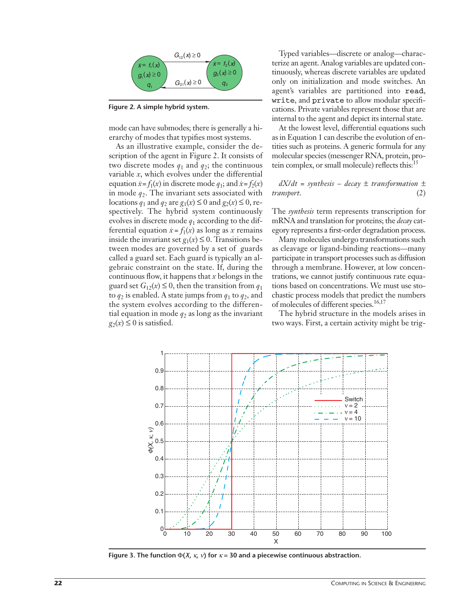

**Figure 2. A simple hybrid system.**

mode can have submodes; there is generally a hierarchy of modes that typifies most systems.

As an illustrative example, consider the description of the agent in Figure 2. It consists of two discrete modes  $q_1$  and  $q_2$ ; the continuous variable *x*, which evolves under the differential equation  $\dot{x} = f_1(x)$  in discrete mode  $q_1$ ; and  $\dot{x} = f_2(x)$ in mode  $q_2$ . The invariant sets associated with locations  $q_1$  and  $q_2$  are  $g_1(x) \le 0$  and  $g_2(x) \le 0$ , respectively. The hybrid system continuously evolves in discrete mode *q*<sup>1</sup> according to the differential equation  $\dot{x} = f_1(x)$  as long as *x* remains inside the invariant set  $g_1(x) \leq 0$ . Transitions between modes are governed by a set of guards called a guard set. Each guard is typically an algebraic constraint on the state. If, during the continuous flow, it happens that *x* belongs in the guard set  $G_{12}(x) \le 0$ , then the transition from  $q_1$ to  $q_2$  is enabled. A state jumps from  $q_1$  to  $q_2$ , and the system evolves according to the differential equation in mode  $q_2$  as long as the invariant  $g_2(x)$  ≤ 0 is satisfied.

Typed variables—discrete or analog—characterize an agent. Analog variables are updated continuously, whereas discrete variables are updated only on initialization and mode switches. An agent's variables are partitioned into read, write, and private to allow modular specifications. Private variables represent those that are internal to the agent and depict its internal state.

At the lowest level, differential equations such as in Equation 1 can describe the evolution of entities such as proteins. A generic formula for any molecular species (messenger RNA, protein, protein complex, or small molecule) reflects this:<sup>15</sup>

 $dX/dt =$  *synthesis* – *decay*  $\pm$  *transformation*  $\pm$ *transport*. (2)

The *synthesis* term represents transcription for mRNA and translation for proteins; the *decay* category represents a first-order degradation process.

Many molecules undergo transformations such as cleavage or ligand-binding reactions—many participate in transport processes such as diffusion through a membrane. However, at low concentrations, we cannot justify continuous rate equations based on concentrations. We must use stochastic process models that predict the numbers of molecules of different species.<sup>16,17</sup>

The hybrid structure in the models arises in two ways. First, a certain activity might be trig-



**Figure 3. The function**  $\Phi(X, \kappa, \nu)$  for  $\kappa = 30$  and a piecewise continuous abstraction.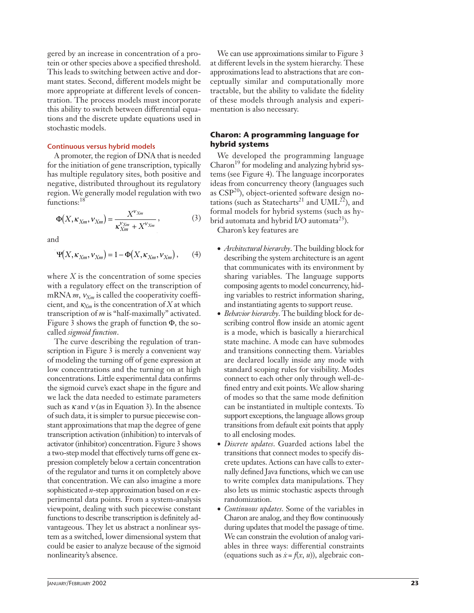gered by an increase in concentration of a protein or other species above a specified threshold. This leads to switching between active and dormant states. Second, different models might be more appropriate at different levels of concentration. The process models must incorporate this ability to switch between differential equations and the discrete update equations used in stochastic models.

#### **Continuous versus hybrid models**

A promoter, the region of DNA that is needed for the initiation of gene transcription, typically has multiple regulatory sites, both positive and negative, distributed throughout its regulatory region. We generally model regulation with two functions:<sup>18</sup>

$$
\Phi(X, \kappa_{Xm}, V_{Xm}) = \frac{X^{V_{Xm}}}{\kappa_{Xm}^{V_{Xm}} + X^{V_{Xm}}},
$$
\n(3)

and

$$
\Psi(X, \kappa_{X_m}, \nu_{X_m}) = 1 - \Phi(X, \kappa_{X_m}, \nu_{X_m}), \qquad (4)
$$

where *X* is the concentration of some species with a regulatory effect on the transcription of mRNA  $m$ ,  $v_{X_m}$  is called the cooperativity coefficient, and  $\kappa_{X_m}$  is the concentration of *X* at which transcription of *m* is "half-maximally" activated. Figure 3 shows the graph of function Φ, the socalled *sigmoid function*.

The curve describing the regulation of transcription in Figure 3 is merely a convenient way of modeling the turning off of gene expression at low concentrations and the turning on at high concentrations. Little experimental data confirms the sigmoid curve's exact shape in the figure and we lack the data needed to estimate parameters such as  $\kappa$  and  $\nu$  (as in Equation 3). In the absence of such data, it is simpler to pursue piecewise constant approximations that map the degree of gene transcription activation (inhibition) to intervals of activator (inhibitor) concentration. Figure 3 shows a two-step model that effectively turns off gene expression completely below a certain concentration of the regulator and turns it on completely above that concentration. We can also imagine a more sophisticated *n*-step approximation based on *n* experimental data points. From a system-analysis viewpoint, dealing with such piecewise constant functions to describe transcription is definitely advantageous. They let us abstract a nonlinear system as a switched, lower dimensional system that could be easier to analyze because of the sigmoid nonlinearity's absence.

We can use approximations similar to Figure 3 at different levels in the system hierarchy. These approximations lead to abstractions that are conceptually similar and computationally more tractable, but the ability to validate the fidelity of these models through analysis and experimentation is also necessary.

#### **Charon: A programming language for hybrid systems**

We developed the programming language  $Charon<sup>19</sup>$  for modeling and analyzing hybrid systems (see Figure 4). The language incorporates ideas from concurrency theory (languages such as  $CSP<sup>20</sup>$ , object-oriented software design notations (such as Statecharts<sup>21</sup> and UML<sup>22</sup>), and formal models for hybrid systems (such as hybrid automata and hybrid  $I/O$  automata<sup>23</sup>).

Charon's key features are

- *Architectural hierarchy*. The building block for describing the system architecture is an agent that communicates with its environment by sharing variables. The language supports composing agents to model concurrency, hiding variables to restrict information sharing, and instantiating agents to support reuse.
- *Behavior hierarchy*. The building block for describing control flow inside an atomic agent is a mode, which is basically a hierarchical state machine. A mode can have submodes and transitions connecting them. Variables are declared locally inside any mode with standard scoping rules for visibility. Modes connect to each other only through well-defined entry and exit points. We allow sharing of modes so that the same mode definition can be instantiated in multiple contexts. To support exceptions, the language allows group transitions from default exit points that apply to all enclosing modes.
- *Discrete updates*. Guarded actions label the transitions that connect modes to specify discrete updates. Actions can have calls to externally defined Java functions, which we can use to write complex data manipulations. They also lets us mimic stochastic aspects through randomization.
- *Continuous updates*. Some of the variables in Charon are analog, and they flow continuously during updates that model the passage of time. We can constrain the evolution of analog variables in three ways: differential constraints (equations such as  $\dot{x} = f(x, u)$ ), algebraic con-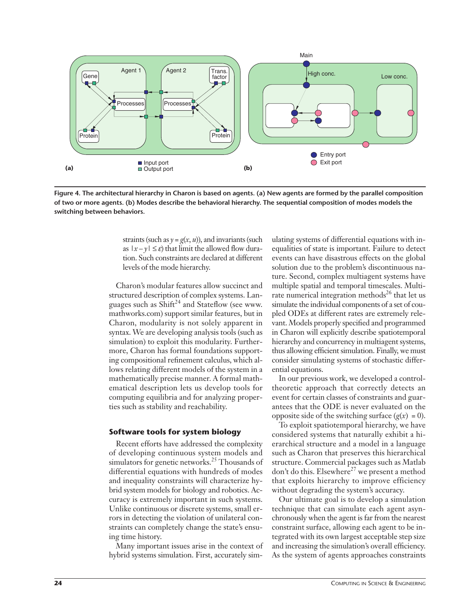

**Figure 4. The architectural hierarchy in Charon is based on agents. (a) New agents are formed by the parallel composition of two or more agents. (b) Modes describe the behavioral hierarchy. The sequential composition of modes models the switching between behaviors.**

straints (such as  $y = g(x, u)$ ), and invariants (such as  $|x - y| \leq \varepsilon$ ) that limit the allowed flow duration. Such constraints are declared at different levels of the mode hierarchy.

Charon's modular features allow succinct and structured description of complex systems. Languages such as  $Shift^{24}$  and Stateflow (see www. mathworks.com) support similar features, but in Charon, modularity is not solely apparent in syntax. We are developing analysis tools (such as simulation) to exploit this modularity. Furthermore, Charon has formal foundations supporting compositional refinement calculus, which allows relating different models of the system in a mathematically precise manner. A formal mathematical description lets us develop tools for computing equilibria and for analyzing properties such as stability and reachability.

#### **Software tools for system biology**

Recent efforts have addressed the complexity of developing continuous system models and simulators for genetic networks.<sup>25</sup> Thousands of differential equations with hundreds of modes and inequality constraints will characterize hybrid system models for biology and robotics. Accuracy is extremely important in such systems. Unlike continuous or discrete systems, small errors in detecting the violation of unilateral constraints can completely change the state's ensuing time history.

Many important issues arise in the context of hybrid systems simulation. First, accurately simulating systems of differential equations with inequalities of state is important. Failure to detect events can have disastrous effects on the global solution due to the problem's discontinuous nature. Second, complex multiagent systems have multiple spatial and temporal timescales. Multirate numerical integration methods<sup>26</sup> that let us simulate the individual components of a set of coupled ODEs at different rates are extremely relevant. Models properly specified and programmed in Charon will explicitly describe spatiotemporal hierarchy and concurrency in multiagent systems, thus allowing efficient simulation. Finally, we must consider simulating systems of stochastic differential equations.

In our previous work, we developed a controltheoretic approach that correctly detects an event for certain classes of constraints and guarantees that the ODE is never evaluated on the opposite side of the switching surface  $(g(x) = 0)$ .

To exploit spatiotemporal hierarchy, we have considered systems that naturally exhibit a hierarchical structure and a model in a language such as Charon that preserves this hierarchical structure. Commercial packages such as Matlab don't do this. Elsewhere<sup>27</sup> we present a method that exploits hierarchy to improve efficiency without degrading the system's accuracy.

Our ultimate goal is to develop a simulation technique that can simulate each agent asynchronously when the agent is far from the nearest constraint surface, allowing each agent to be integrated with its own largest acceptable step size and increasing the simulation's overall efficiency. As the system of agents approaches constraints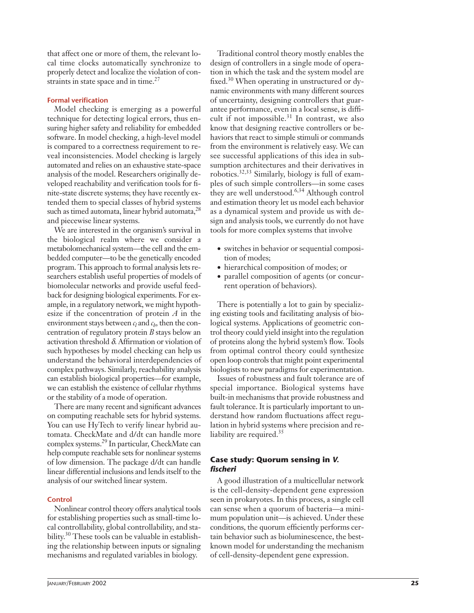that affect one or more of them, the relevant local time clocks automatically synchronize to properly detect and localize the violation of constraints in state space and in time.<sup>27</sup>

#### **Formal verification**

Model checking is emerging as a powerful technique for detecting logical errors, thus ensuring higher safety and reliability for embedded software. In model checking, a high-level model is compared to a correctness requirement to reveal inconsistencies. Model checking is largely automated and relies on an exhaustive state-space analysis of the model. Researchers originally developed reachability and verification tools for finite-state discrete systems; they have recently extended them to special classes of hybrid systems such as timed automata, linear hybrid automata,<sup>28</sup> and piecewise linear systems.

We are interested in the organism's survival in the biological realm where we consider a metabolomechanical system—the cell and the embedded computer—to be the genetically encoded program. This approach to formal analysis lets researchers establish useful properties of models of biomolecular networks and provide useful feedback for designing biological experiments. For example, in a regulatory network, we might hypothesize if the concentration of protein *A* in the environment stays between  $c_l$  and  $c_b$ , then the concentration of regulatory protein *B* stays below an activation threshold δ. Affirmation or violation of such hypotheses by model checking can help us understand the behavioral interdependencies of complex pathways. Similarly, reachability analysis can establish biological properties—for example, we can establish the existence of cellular rhythms or the stability of a mode of operation.

There are many recent and significant advances on computing reachable sets for hybrid systems. You can use HyTech to verify linear hybrid automata. CheckMate and d/dt can handle more complex systems.29 In particular, CheckMate can help compute reachable sets for nonlinear systems of low dimension. The package d/dt can handle linear differential inclusions and lends itself to the analysis of our switched linear system.

#### **Control**

Nonlinear control theory offers analytical tools for establishing properties such as small-time local controllability, global controllability, and stability.<sup>30</sup> These tools can be valuable in establishing the relationship between inputs or signaling mechanisms and regulated variables in biology.

Traditional control theory mostly enables the design of controllers in a single mode of operation in which the task and the system model are fixed.<sup>30</sup> When operating in unstructured or dynamic environments with many different sources of uncertainty, designing controllers that guarantee performance, even in a local sense, is difficult if not impossible. $31$  In contrast, we also know that designing reactive controllers or behaviors that react to simple stimuli or commands from the environment is relatively easy. We can see successful applications of this idea in subsumption architectures and their derivatives in robotics.32,33 Similarly, biology is full of examples of such simple controllers—in some cases they are well understood.<sup>6,34</sup> Although control and estimation theory let us model each behavior as a dynamical system and provide us with design and analysis tools, we currently do not have tools for more complex systems that involve

- switches in behavior or sequential composition of modes;
- hierarchical composition of modes; or
- parallel composition of agents (or concurrent operation of behaviors).

There is potentially a lot to gain by specializing existing tools and facilitating analysis of biological systems. Applications of geometric control theory could yield insight into the regulation of proteins along the hybrid system's flow. Tools from optimal control theory could synthesize open loop controls that might point experimental biologists to new paradigms for experimentation.

Issues of robustness and fault tolerance are of special importance. Biological systems have built-in mechanisms that provide robustness and fault tolerance. It is particularly important to understand how random fluctuations affect regulation in hybrid systems where precision and reliability are required.<sup>35</sup>

#### **Case study: Quorum sensing in** *V. fischeri*

A good illustration of a multicellular network is the cell-density-dependent gene expression seen in prokaryotes. In this process, a single cell can sense when a quorum of bacteria—a minimum population unit—is achieved. Under these conditions, the quorum efficiently performs certain behavior such as bioluminescence, the bestknown model for understanding the mechanism of cell-density-dependent gene expression.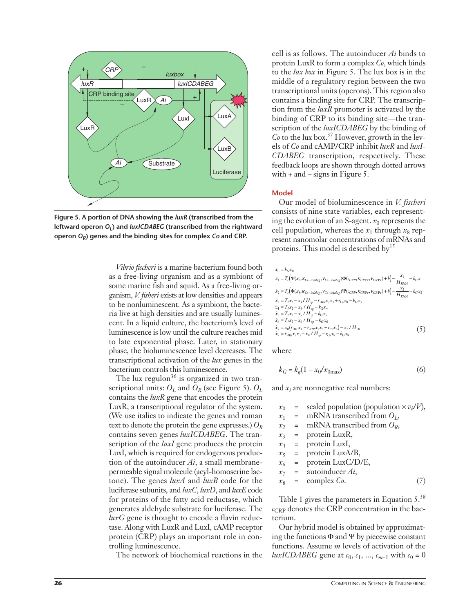

**Figure 5. A portion of DNA showing the** *luxR* **(transcribed from the leftward operon O<sub>L</sub>**) and *luxICDABEG* (transcribed from the rightward **operon** *OR***) genes and the binding sites for complex** *Co* **and CRP.**

*Vibrio fischeri* is a marine bacterium found both as a free-living organism and as a symbiont of some marine fish and squid. As a free-living organism, *V. fisheri* exists at low densities and appears to be nonluminescent. As a symbiont, the bacteria live at high densities and are usually luminescent. In a liquid culture, the bacterium's level of luminescence is low until the culture reaches mid to late exponential phase. Later, in stationary phase, the bioluminescence level decreases. The transcriptional activation of the *lux* genes in the bacterium controls this luminescence.

The lux regulon<sup>36</sup> is organized in two transcriptional units:  $O_L$  and  $O_R$  (see Figure 5).  $O_L$ contains the *luxR* gene that encodes the protein LuxR, a transcriptional regulator of the system. (We use italics to indicate the genes and roman text to denote the protein the gene expresses.) *OR* contains seven genes *luxICDABEG*. The transcription of the *luxI* gene produces the protein LuxI, which is required for endogenous production of the autoinducer *Ai*, a small membranepermeable signal molecule (acyl-homoserine lactone). The genes *luxA* and *luxB* code for the luciferase subunits, and *luxC*, *luxD*, and *luxE* code for proteins of the fatty acid reductase, which generates aldehyde substrate for luciferase. The *luxG* gene is thought to encode a flavin reductase. Along with LuxR and LuxI, cAMP receptor protein (CRP) plays an important role in controlling luminescence.

The network of biochemical reactions in the

cell is as follows. The autoinducer *Ai* binds to protein LuxR to form a complex *Co*, which binds to the *lux box* in Figure 5. The lux box is in the middle of a regulatory region between the two transcriptional units (operons). This region also contains a binding site for CRP. The transcription from the *luxR* promoter is activated by the binding of CRP to its binding site—the transcription of the *luxICDABEG* by the binding of *Co* to the lux box.37 However, growth in the levels of *Co* and cAMP/CRP inhibit *luxR* and *luxI-CDABEG* transcription, respectively. These feedback loops are shown through dotted arrows with + and – signs in Figure 5.

#### **Model**

Our model of bioluminescence in *V. fischeri* consists of nine state variables, each representing the evolution of an S-agent.  $x_0$  represents the cell population, whereas the  $x_1$  through  $x_8$  represent nanomolar concentrations of mRNAs and proteins. This model is described by<sup>15</sup>

$$
\dot{x}_0 = k_G x_0 \n\dot{x}_1 = T_c (\Psi(x_8, \kappa_{Co-iclabeg}, V_{Co-iclabeg}) \Phi(c_{CRP}, \kappa_{CRPr}, V_{CRPr}) + b) - \frac{x_1}{H_{RNA}} - k_G x_1 \n\dot{x}_2 = T_c (\Phi(x_8, \kappa_{Co-iclabeg}, V_{Co-iclabeg}) \Psi(c_{CRP}, \kappa_{CRPr}, V_{CRPr}) + b) - \frac{x_2}{H_{RNA}} - k_G x_2 \n\dot{x}_3 = T_i x_1 - x_3 / H_{sp} - r_{AIR} x_7 x_3 + r_{Co} x_8 - k_G x_3 \n\dot{x}_4 = T_i x_2 - x_4 / H_{sp} - k_G x_4 \n\dot{x}_5 = T_l x_2 - x_5 / H_{sp} - k_G x_5 \n\dot{x}_6 = T_i x_2 - x_5 / H_{sp} - k_G x_6 \n\dot{x}_7 = x_0 (r_{AII} x_4 - r_{AIR} x_7 x_3 + r_{Co} x_8) - x_7 / H_{AII} \n\dot{x}_8 = r_{AIR} x_7 x_3 - x_8 / H_{sp} - r_{Co} x_8 - k_G x_8
$$
\n(5)

where

$$
k_G = k_g (1 - x_0 / x_{0\text{max}}) \tag{6}
$$

and *xi* are nonnegative real numbers:

|  | $x_0$ = scaled population (population $\times v_b/V$ ), |  |
|--|---------------------------------------------------------|--|
|  | $x_1$ = mRNA transcribed from $O_L$ ,                   |  |
|  | $x_2$ = mRNA transcribed from $O_R$ ,                   |  |
|  | $x_3$ = protein LuxR,                                   |  |
|  | $x_4$ = protein LuxI,                                   |  |
|  | $x_5$ = protein LuxA/B,                                 |  |
|  | $x_6$ = protein LuxC/D/E,                               |  |
|  | $x_7$ = autoinducer <i>Ai</i> ,                         |  |
|  | $x_8$ = complex $Co$ .                                  |  |
|  |                                                         |  |

Table 1 gives the parameters in Equation 5.<sup>38</sup>  $c_{CRP}$  denotes the CRP concentration in the bacterium.

Our hybrid model is obtained by approximating the functions  $\Phi$  and  $\Psi$  by piecewise constant functions. Assume *m* levels of activation of the *luxICDABEG* gene at  $c_0$ ,  $c_1$ , ...,  $c_{m-1}$  with  $c_0 = 0$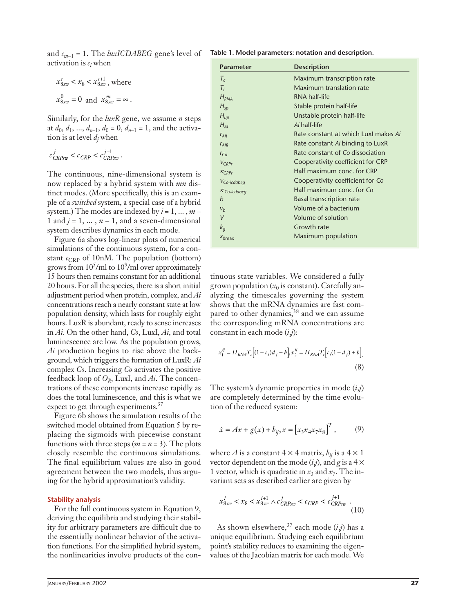and  $c_{m-1}$  = 1. The *luxICDABEG* gene's level of activation is *ci* when

$$
x_{8xw}^i < x_8 < x_{8xw}^{i+1}
$$
, where  

$$
x_{8xw}^0 = 0
$$
 and 
$$
x_{8xw}^m = \infty
$$
.

Similarly, for the *luxR* gene, we assume *n* steps at  $d_0, d_1, ..., d_{n-1}, d_0 = 0, d_{n-1} = 1$ , and the activation is at level *dj* when

$$
c_{CRPsw}^j < c_{CRP} < c_{CRPsw}^{j+1}.
$$

The continuous, nine-dimensional system is now replaced by a hybrid system with *mn* distinct modes. (More specifically, this is an example of a *switched* system, a special case of a hybrid system.) The modes are indexed by *i* = 1, ... , *m* – 1 and  $j = 1, ..., n - 1$ , and a seven-dimensional system describes dynamics in each mode.

Figure 6a shows log-linear plots of numerical simulations of the continuous system, for a constant  $c_{CRP}$  of 10nM. The population (bottom) grows from  $10^5$ /ml to  $10^9$ /ml over approximately 15 hours then remains constant for an additional 20 hours. For all the species, there is a short initial adjustment period when protein, complex, and *Ai* concentrations reach a nearly constant state at low population density, which lasts for roughly eight hours. LuxR is abundant, ready to sense increases in *Ai*. On the other hand, *Co*, LuxI, *Ai*, and total luminescence are low. As the population grows, *Ai* production begins to rise above the background, which triggers the formation of LuxR: *Ai* complex *Co*. Increasing *Co* activates the positive feedback loop of *OR*, LuxI, and *Ai*. The concentrations of these components increase rapidly as does the total luminescence, and this is what we expect to get through experiments. $37$ 

Figure 6b shows the simulation results of the switched model obtained from Equation 5 by replacing the sigmoids with piecewise constant functions with three steps ( $m = n = 3$ ). The plots closely resemble the continuous simulations. The final equilibrium values are also in good agreement between the two models, thus arguing for the hybrid approximation's validity.

#### **Stability analysis**

For the full continuous system in Equation 9, deriving the equilibria and studying their stability for arbitrary parameters are difficult due to the essentially nonlinear behavior of the activation functions. For the simplified hybrid system, the nonlinearities involve products of the con-

| Table 1. Model parameters: notation and description. |  |  |  |  |
|------------------------------------------------------|--|--|--|--|
|------------------------------------------------------|--|--|--|--|

| Parameter        | <b>Description</b>                   |
|------------------|--------------------------------------|
| $T_c$            | Maximum transcription rate           |
| $T_I$            | Maximum translation rate             |
| $H_{RNA}$        | RNA half-life                        |
| $H_{sp}$         | Stable protein half-life             |
| $H_{up}$         | Unstable protein half-life           |
| $H_{AI}$         | Ai half-life                         |
| $r_{All}$        | Rate constant at which LuxI makes Ai |
| $r_{AIR}$        | Rate constant Ai binding to LuxR     |
| $r_{Co}$         | Rate constant of Co dissociation     |
| $V_{CRPr}$       | Cooperativity coefficient for CRP    |
| $K_{CRPr}$       | Half maximum conc. for CRP           |
| $V_{Co-icdabeg}$ | Cooperativity coefficient for Co     |
| $K$ Co-icdabeg   | Half maximum conc. for Co            |
| h                | <b>Basal transcription rate</b>      |
| $V_h$            | Volume of a bacterium                |
| V                | Volume of solution                   |
| $k_q$            | Growth rate                          |
| $X_{\Omega max}$ | Maximum population                   |

tinuous state variables. We considered a fully grown population  $(x_0)$  is constant). Carefully analyzing the timescales governing the system shows that the mRNA dynamics are fast compared to other dynamics,<sup>38</sup> and we can assume the corresponding mRNA concentrations are constant in each mode (*i*,*j*):

$$
x_1^{ij} = H_{RN} T_c \Big[ (1 - c_i) d_j + b \Big], x_2^{ij} = H_{RN} T_c \Big[ c_i (1 - d_j) + b \Big].
$$
\n(8)

The system's dynamic properties in mode (*i*,*j*) are completely determined by the time evolution of the reduced system:

$$
\dot{x} = Ax + g(x) + b_{ij}, x = [x_3 x_4 x_7 x_8]^T, \quad (9)
$$

where *A* is a constant  $4 \times 4$  matrix,  $b_{ij}$  is a  $4 \times 1$ vector dependent on the mode  $(i,j)$ , and  $g$  is a 4  $\times$ 1 vector, which is quadratic in  $x_3$  and  $x_7$ . The invariant sets as described earlier are given by

$$
x_{8sw}^i < x_8 < x_{8sw}^{i+1} \land c_{CRPsw}^j < c_{CRP} < c_{CRPsw}^{j+1} \tag{10}
$$

As shown elsewhere,<sup>37</sup> each mode  $(i,j)$  has a unique equilibrium. Studying each equilibrium point's stability reduces to examining the eigenvalues of the Jacobian matrix for each mode. We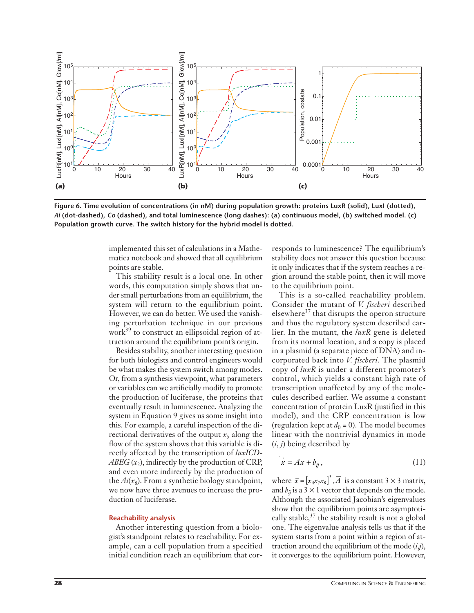

**Figure 6. Time evolution of concentrations (in nM) during population growth: proteins LuxR (solid), LuxI (dotted),**  *Ai* **(dot-dashed),** *Co* **(dashed), and total luminescence (long dashes): (a) continuous model, (b) switched model. (c) Population growth curve. The switch history for the hybrid model is dotted.**

implemented this set of calculations in a Mathematica notebook and showed that all equilibrium points are stable.

This stability result is a local one. In other words, this computation simply shows that under small perturbations from an equilibrium, the system will return to the equilibrium point. However, we can do better. We used the vanishing perturbation technique in our previous work<sup>39</sup> to construct an ellipsoidal region of attraction around the equilibrium point's origin.

Besides stability, another interesting question for both biologists and control engineers would be what makes the system switch among modes. Or, from a synthesis viewpoint, what parameters or variables can we artificially modify to promote the production of luciferase, the proteins that eventually result in luminescence. Analyzing the system in Equation 9 gives us some insight into this. For example, a careful inspection of the directional derivatives of the output  $x_5$  along the flow of the system shows that this variable is directly affected by the transcription of *luxICD-ABEG*  $(x_2)$ , indirectly by the production of CRP, and even more indirectly by the production of the  $Ai(x_8)$ . From a synthetic biology standpoint, we now have three avenues to increase the production of luciferase.

#### **Reachability analysis**

Another interesting question from a biologist's standpoint relates to reachability. For example, can a cell population from a specified initial condition reach an equilibrium that corresponds to luminescence? The equilibrium's stability does not answer this question because it only indicates that if the system reaches a region around the stable point, then it will move to the equilibrium point.

This is a so-called reachability problem. Consider the mutant of *V. fischeri* described elsewhere<sup>37</sup> that disrupts the operon structure and thus the regulatory system described earlier. In the mutant, the *luxR* gene is deleted from its normal location, and a copy is placed in a plasmid (a separate piece of DNA) and incorporated back into *V. fischeri*. The plasmid copy of *luxR* is under a different promoter's control, which yields a constant high rate of transcription unaffected by any of the molecules described earlier. We assume a constant concentration of protein LuxR (justified in this model), and the CRP concentration is low (regulation kept at  $d_0 = 0$ ). The model becomes linear with the nontrivial dynamics in mode (*i*, *j*) being described by

$$
\dot{\overline{x}} = \overline{A}\overline{x} + \overline{b}_{ij},\tag{11}
$$

where  $\bar{x} = [x_4 x_7 x_8]^T$ ,  $\bar{A}$  is a constant 3  $\times$  3 matrix, and  $b_{ii}$  is a 3  $\times$  1 vector that depends on the mode. Although the associated Jacobian's eigenvalues show that the equilibrium points are asymptotically stable,  $37$  the stability result is not a global one. The eigenvalue analysis tells us that if the system starts from a point within a region of attraction around the equilibrium of the mode (*i*,*j*), it converges to the equilibrium point. However,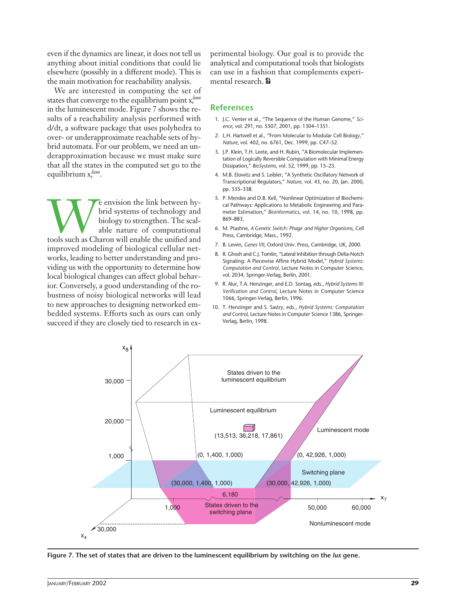even if the dynamics are linear, it does not tell us anything about initial conditions that could lie elsewhere (possibly in a different mode). This is the main motivation for reachability analysis.

We are interested in computing the set of states that converge to the equilibrium point  $x_e^{lum}$ in the luminescent mode. Figure 7 shows the results of a reachability analysis performed with d/dt, a software package that uses polyhedra to over- or underapproximate reachable sets of hybrid automata. For our problem, we need an underapproximation because we must make sure that all the states in the computed set go to the equilibrium x*<sup>e</sup> lum*.

**WE ENDINE ENDINE SERVIS CONTROLLED SURVEYOR SURVEYOR SURVEYOR SURVEYOR SURVEYOR SURVEYOR SURVEYOR SURVEYOR SURVEYOR SURVEYOR SURVEYOR SURVEYOR SURVEYOR SURVEYOR SURVEYOR SURVEYOR SURVEYOR SURVEYOR SURVEYOR SURVEYOR SURVEY** brid systems of technology and biology to strengthen. The scalable nature of computational improved modeling of biological cellular networks, leading to better understanding and providing us with the opportunity to determine how local biological changes can affect global behavior. Conversely, a good understanding of the robustness of noisy biological networks will lead to new approaches to designing networked embedded systems. Efforts such as ours can only succeed if they are closely tied to research in experimental biology. Our goal is to provide the analytical and computational tools that biologists can use in a fashion that complements experimental research. Se

#### **References**

- 1. J.C. Venter et al., "The Sequence of the Human Genome," *Science*, vol. 291, no. 5507, 2001, pp. 1304–1351.
- 2. L.H. Hartwell et al., "From Molecular to Modular Cell Biology," *Nature*, vol. 402, no. 6761, Dec. 1999, pp. C47–52.
- 3. J.P. Klein, T.H. Leete, and H. Rubin, "A Biomolecular Implementation of Logically Reversible Computation with Minimal Energy Dissipation," *BioSystems*, vol. 52, 1999, pp. 15–23.
- 4. M.B. Elowitz and S. Leibler, "A Synthetic Oscillatory Network of Transcriptional Regulators," *Nature*, vol. 43, no. 20, Jan. 2000, pp. 335–338.
- 5. P. Mendes and D.B. Kell, "Nonlinear Optimization of Biochemical Pathways: Applications to Metabolic Engineering and Parameter Estimation," *Bioinformatics*, vol. 14, no. 10, 1998, pp. 869–883.
- 6. M. Ptashne, *A Genetic Switch: Phage* \_ *and Higher Organisms*, Cell Press, Cambridge, Mass., 1992.
- 7. B. Lewin, *Genes VII*, Oxford Univ. Press, Cambridge, UK, 2000.
- 8. R. Ghosh and C.J. Tomlin, "Lateral Inhibition through Delta-Notch Signaling: A Piecewise Affine Hybrid Model," *Hybrid Systems: Computation and Control*, Lecture Notes in Computer Science, vol. 2034, Springer-Verlag, Berlin, 2001.
- 9. R. Alur, T.A. Henzinger, and E.D. Sontag, eds., *Hybrid Systems III: Verification and Control*, Lecture Notes in Computer Science 1066, Springer-Verlag, Berlin, 1996.
- 10. T. Henzinger and S. Sastry, eds., *Hybrid Systems: Computation and Control*, Lecture Notes in Computer Science 1386, Springer-Verlag, Berlin, 1998.



**Figure 7. The set of states that are driven to the luminescent equilibrium by switching on the** *lux* **gene.**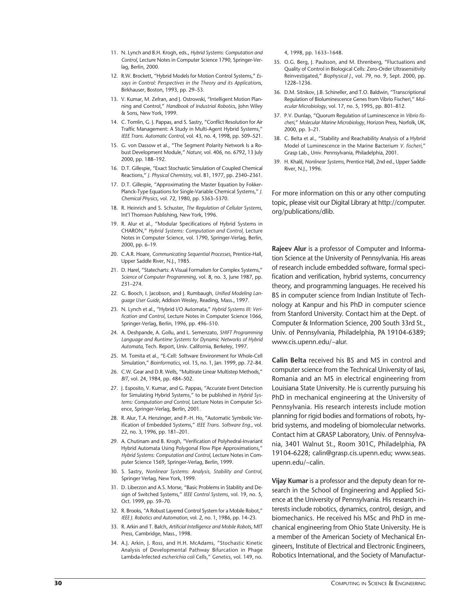- 11. N. Lynch and B.H. Krogh, eds., *Hybrid Systems: Computation and Control*, Lecture Notes in Computer Science 1790, Springer-Verlag, Berlin, 2000.
- 12. R.W. Brockett, "Hybrid Models for Motion Control Systems," *Essays in Control: Perspectives in the Theory and its Application*s, Birkhauser, Boston, 1993, pp. 29–53.
- 13. V. Kumar, M. Zefran, and J. Ostrowski, "Intelligent Motion Planning and Control," *Handbook of Industrial Robotic*s, John Wiley & Sons, New York, 1999.
- 14. C. Tomlin, G. J. Pappas, and S. Sastry, "Conflict Resolution for Air Traffic Management: A Study in Multi-Agent Hybrid Systems," *IEEE Trans. Automatic Control*, vol. 43, no. 4, 1998, pp. 509–521.
- 15. G. von Dassow et al., "The Segment Polarity Network Is a Robust Development Module," *Nature*, vol. 406, no. 6792, 13 July 2000, pp. 188–192.
- 16. D.T. Gillespie, "Exact Stochastic Simulation of Coupled Chemical Reactions," *J. Physical Chemistry*, vol. 81, 1977, pp. 2340–2361.
- 17. D.T. Gillespie, "Approximating the Master Equation by Fokker-Planck-Type Equations for Single-Variable Chemical Systems," *J. Chemical Physics*, vol. 72, 1980, pp. 5363–5370.
- 18. R. Heinrich and S. Schuster, *The Regulation of Cellular Systems*, Int'l Thomson Publishing, New York, 1996.
- 19. R. Alur et al., "Modular Specifications of Hybrid Systems in CHARON," *Hybrid Systems: Computation and Control,* Lecture Notes in Computer Science, vol. 1790, Springer-Verlag, Berlin, 2000, pp. 6–19.
- 20. C.A.R. Hoare, *Communicating Sequential Processes*, Prentice-Hall, Upper Saddle River, N.J., 1985.
- 21. D. Harel, "Statecharts: A Visual Formalism for Complex Systems," *Science of Computer Programming*, vol. 8, no. 3, June 1987, pp. 231–274.
- 22. G. Booch, I. Jacobson, and J. Rumbaugh, *Unified Modeling Language User Guide*, Addison Wesley, Reading, Mass., 1997.
- 23. N. Lynch et al., "Hybrid I/O Automata," *Hybrid Systems III: Verification and Control*, Lecture Notes in Computer Science 1066, Springer-Verlag, Berlin, 1996, pp. 496–510.
- 24. A. Deshpande, A. Gollu, and L. Semenzato, *SHIFT Programming Language and Runtime Systems for Dynamic Networks of Hybrid Automata*, Tech. Report, Univ. California, Berkeley, 1997.
- 25. M. Tomita et al., "E-Cell: Software Environment for Whole-Cell Simulation," *Bioinformatics*, vol. 15, no. 1, Jan. 1999, pp. 72–84.
- 26. C.W. Gear and D.R. Wells, "Multirate Linear Multistep Methods," *BIT*, vol. 24, 1984, pp. 484–502.
- 27. J. Esposito, V. Kumar, and G. Pappas, "Accurate Event Detection for Simulating Hybrid Systems," to be published in *Hybrid Systems: Computation and Control*, Lecture Notes in Computer Science, Springer-Verlag, Berlin, 2001.
- 28. R. Alur, T.A. Henzinger, and P.-H. Ho, "Automatic Symbolic Verification of Embedded Systems," *IEEE Trans. Software Eng.*, vol. 22, no. 3, 1996, pp. 181–201.
- 29. A. Chutinam and B. Krogh, "Verification of Polyhedral-Invariant Hybrid Automata Using Polygonal Flow Pipe Approximations," *Hybrid Systems: Computation and Control*, Lecture Notes in Computer Science 1569, Springer-Verlag, Berlin, 1999.
- 30. S. Sastry, *Nonlinear Systems: Analysis, Stability and Control*, Springer Verlag, New York, 1999.
- 31. D. Liberzon and A.S. Morse, "Basic Problems in Stability and Design of Switched Systems," *IEEE Control Systems*, vol. 19, no. 5, Oct. 1999, pp. 59–70.
- 32. R. Brooks, "A Robust Layered Control System for a Mobile Robot," *IEEE J. Robotics and Automation*, vol. 2, no. 1, 1986, pp. 14–23.
- 33. R. Arkin and T. Balch, *Artificial Intelligence and Mobile Robot*s, MIT Press, Cambridge, Mass., 1998.
- 34. A.J. Arkin, J. Ross, and H.H. McAdams, "Stochastic Kinetic Analysis of Developmental Pathway Bifurcation in Phage Lambda-Infected *escherichia coli* Cells," *Genetic*s, vol. 149, no.

4, 1998, pp. 1633–1648.

- 35. O.G. Berg, J. Paulsson, and M. Ehrenberg, "Fluctuations and Quality of Control in Biological Cells: Zero-Order Ultrasensitivity Reinvestigated," *Biophysical J.*, vol. 79, no. 9, Sept. 2000, pp. 1228–1236.
- 36. D.M. Sitnikov, J.B. Schineller, and T.O. Baldwin, "Transcriptional Regulation of Bioluminescence Genes from Vibrio Fischeri," *Molecular Microbiology*, vol. 17, no. 5, 1995, pp. 801–812.
- 37. P.V. Dunlap, "Quorum Regulation of Luminescence in *Vibrio fischeri*," *Molecular Marine Microbiolog*y, Horizon Press, Norfolk, UK, 2000, pp. 3–21.
- 38. C. Belta et al., "Stability and Reachability Analysis of a Hybrid Model of Luminescence in the Marine Bacterium *V. fischeri*," Grasp Lab., Univ. Pennsylvania, Philadelphia, 2001.
- 39. H. Khalil, *Nonlinear Systems*, Prentice Hall, 2nd ed., Upper Saddle River, N.J., 1996.

For more information on this or any other computing topic, please visit our Digital Library at http://computer. org/publications/dlib.

**Rajeev Alur** is a professor of Computer and Information Science at the University of Pennsylvania. His areas of research include embedded software, formal specification and verification, hybrid systems, concurrency theory, and programming languages. He received his BS in computer science from Indian Institute of Technology at Kanpur and his PhD in computer science from Stanford University. Contact him at the Dept. of Computer & Information Science, 200 South 33rd St., Univ. of Pennsylvania, Philadelphia, PA 19104-6389; www.cis.upenn.edu/~alur.

**Calin Belta** received his BS and MS in control and computer science from the Technical University of Iasi, Romania and an MS in electrical engineering from Louisiana State University. He is currently pursuing his PhD in mechanical engineering at the University of Pennsylvania. His research interests include motion planning for rigid bodies and formations of robots, hybrid systems, and modeling of biomolecular networks. Contact him at GRASP Laboratory, Univ. of Pennsylvania, 3401 Walnut St., Room 301C, Philadelphia, PA 19104-6228; calin@grasp.cis.upenn.edu; www.seas. upenn.edu/~calin.

**Vijay Kumar** is a professor and the deputy dean for research in the School of Engineering and Applied Science at the University of Pennsylvania. His research interests include robotics, dynamics, control, design, and biomechanics. He received his MSc and PhD in mechanical engineering from Ohio State University. He is a member of the American Society of Mechanical Engineers, Institute of Electrical and Electronic Engineers, Robotics International, and the Society of Manufactur